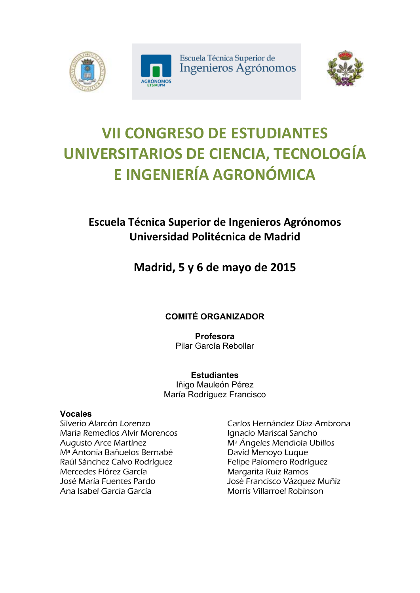



# **VII CONGRESO DE ESTUDIANTES UNIVERSITARIOS DE CIENCIA, TECNOLOGÍA E INGENIERÍA AGRONÓMICA**

# **Escuela Técnica Superior de Ingenieros Agrónomos Universidad Politécnica de Madrid**

# **Madrid, 5 y 6 de mayo de 2015**

# **COMITÉ ORGANIZADOR**

**Profesora** Pilar García Rebollar

**Estudiantes**  Iñigo Mauleón Pérez María Rodríguez Francisco

# **Vocales**

Silverio Alarcón Lorenzo María Remedios Alvir Morencos Augusto Arce Martínez Mª Antonia Bañuelos Bernabé Raúl Sánchez Calvo Rodríguez Mercedes Flórez García José María Fuentes Pardo Ana Isabel García García

Carlos Hernández Díaz-Ambrona Ignacio Mariscal Sancho Mª Ángeles Mendiola Ubillos David Menoyo Luque Felipe Palomero Rodríguez Margarita Ruiz Ramos José Francisco Vázquez Muñiz Morris Villarroel Robinson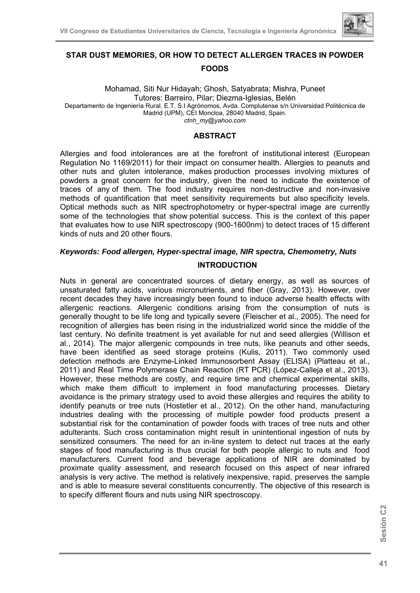

# **STAR DUST MEMORIES, OR HOW TO DETECT ALLERGEN TRACES IN POWDER FOODS**

Mohamad, Siti Nur Hidayah; Ghosh, Satyabrata; Mishra, Puneet Tutores: Barreiro, Pilar; Diezma-Iglesias, Belén Departamento de Ingeniería Rural. E.T. S.I Agrónomos, Avda. Complutense s/n Universidad Politécnica de Madrid (UPM), CEI Moncloa, 28040 Madrid, Spain. *ctnh\_my@yahoo.com* 

### **ABSTRACT**

Allergies and food intolerances are at the forefront of institutional interest (European Regulation No 1169/2011) for their impact on consumer health. Allergies to peanuts and other nuts and gluten intolerance, makes production processes involving mixtures of powders a great concern for the industry, given the need to indicate the existence of traces of any of them. The food industry requires non-destructive and non-invasive methods of quantification that meet sensitivity requirements but also specificity levels. Optical methods such as NIR spectrophotometry or hyper-spectral image are currently some of the technologies that show potential success. This is the context of this paper that evaluates how to use NIR spectroscopy (900-1600nm) to detect traces of 15 different kinds of nuts and 20 other flours.

## *Keywords: Food allergen, Hyper-spectral image, NIR spectra, Chemometry, Nuts*  **INTRODUCTION**

Nuts in general are concentrated sources of dietary energy, as well as sources of unsaturated fatty acids, various micronutrients, and fiber (Gray, 2013). However, over recent decades they have increasingly been found to induce adverse health effects with allergenic reactions. Allergenic conditions arising from the consumption of nuts is generally thought to be life long and typically severe (Fleischer et al., 2005). The need for recognition of allergies has been rising in the industrialized world since the middle of the last century. No definite treatment is yet available for nut and seed allergies (Willison et al., 2014). The major allergenic compounds in tree nuts, like peanuts and other seeds, have been identified as seed storage proteins (Kulis, 2011). Two commonly used detection methods are Enzyme-Linked Immunosorbent Assay (ELISA) (Platteau et al., 2011) and Real Time Polymerase Chain Reaction (RT PCR) (López-Calleja et al., 2013). However, these methods are costly, and require time and chemical experimental skills, which make them difficult to implement in food manufacturing processes. Dietary avoidance is the primary strategy used to avoid these allergies and requires the ability to identify peanuts or tree nuts (Hostetler et al., 2012). On the other hand, manufacturing industries dealing with the processing of multiple powder food products present a substantial risk for the contamination of powder foods with traces of tree nuts and other adulterants. Such cross contamination might result in unintentional ingestion of nuts by sensitized consumers. The need for an in-line system to detect nut traces at the early stages of food manufacturing is thus crucial for both people allergic to nuts and food manufacturers. Current food and beverage applications of NIR are dominated by proximate quality assessment, and research focused on this aspect of near infrared analysis is very active. The method is relatively inexpensive, rapid, preserves the sample and is able to measure several constituents concurrently. The objective of this research is to specify different flours and nuts using NIR spectroscopy.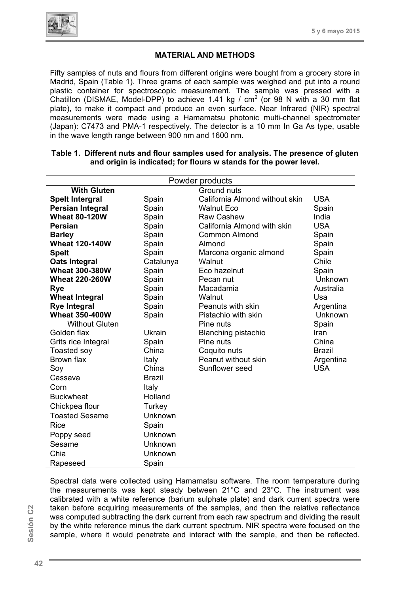

#### **MATERIAL AND METHODS**

Fifty samples of nuts and flours from different origins were bought from a grocery store in Madrid, Spain (Table 1). Three grams of each sample was weighed and put into a round plastic container for spectroscopic measurement. The sample was pressed with a Chatillon (DISMAE, Model-DPP) to achieve 1.41 kg /  $cm<sup>2</sup>$  (or 98 N with a 30 mm flat plate), to make it compact and produce an even surface. Near Infrared (NIR) spectral measurements were made using a Hamamatsu photonic multi-channel spectrometer (Japan): C7473 and PMA-1 respectively. The detector is a 10 mm In Ga As type, usable in the wave length range between 900 nm and 1600 nm.

| Powder products         |               |                                |               |
|-------------------------|---------------|--------------------------------|---------------|
| <b>With Gluten</b>      |               | Ground nuts                    |               |
| <b>Spelt Intergral</b>  | Spain         | California Almond without skin | <b>USA</b>    |
| <b>Persian Integral</b> | Spain         | <b>Walnut Eco</b>              | Spain         |
| <b>Wheat 80-120W</b>    | Spain         | <b>Raw Cashew</b>              | India         |
| Persian                 | Spain         | California Almond with skin    | <b>USA</b>    |
| <b>Barley</b>           | Spain         | <b>Common Almond</b>           | Spain         |
| <b>Wheat 120-140W</b>   | Spain         | Almond                         | Spain         |
| <b>Spelt</b>            | Spain         | Marcona organic almond         | Spain         |
| Oats Integral           | Catalunya     | Walnut                         | Chile         |
| <b>Wheat 300-380W</b>   | Spain         | Eco hazelnut                   | Spain         |
| <b>Wheat 220-260W</b>   | Spain         | Pecan nut                      | Unknown       |
| <b>Rye</b>              | Spain         | Macadamia                      | Australia     |
| <b>Wheat Integral</b>   | Spain         | Walnut                         | Usa           |
| <b>Rye Integral</b>     | Spain         | Peanuts with skin              | Argentina     |
| <b>Wheat 350-400W</b>   | Spain         | Pistachio with skin            | Unknown       |
| <b>Without Gluten</b>   |               | Pine nuts                      | Spain         |
| Golden flax             | Ukrain        | <b>Blanching pistachio</b>     | Iran          |
| Grits rice Integral     | Spain         | Pine nuts                      | China         |
| Toasted soy             | China         | Coquito nuts                   | <b>Brazil</b> |
| Brown flax              | Italy         | Peanut without skin            | Argentina     |
| Soy                     | China         | Sunflower seed                 | <b>USA</b>    |
| Cassava                 | <b>Brazil</b> |                                |               |
| Corn                    | Italy         |                                |               |
| <b>Buckwheat</b>        | Holland       |                                |               |
| Chickpea flour          | Turkey        |                                |               |
| <b>Toasted Sesame</b>   | Unknown       |                                |               |
| <b>Rice</b>             | Spain         |                                |               |
| Poppy seed              | Unknown       |                                |               |
| Sesame                  | Unknown       |                                |               |
| Chia                    | Unknown       |                                |               |
| Rapeseed                | Spain         |                                |               |

#### **Table 1. Different nuts and flour samples used for analysis. The presence of gluten and origin is indicated; for flours w stands for the power level.**

**Sesión C2**  Sesión C<sub>2</sub> Spectral data were collected using Hamamatsu software. The room temperature during the measurements was kept steady between 21°C and 23°C. The instrument was calibrated with a white reference (barium sulphate plate) and dark current spectra were taken before acquiring measurements of the samples, and then the relative reflectance was computed subtracting the dark current from each raw spectrum and dividing the result by the white reference minus the dark current spectrum. NIR spectra were focused on the sample, where it would penetrate and interact with the sample, and then be reflected.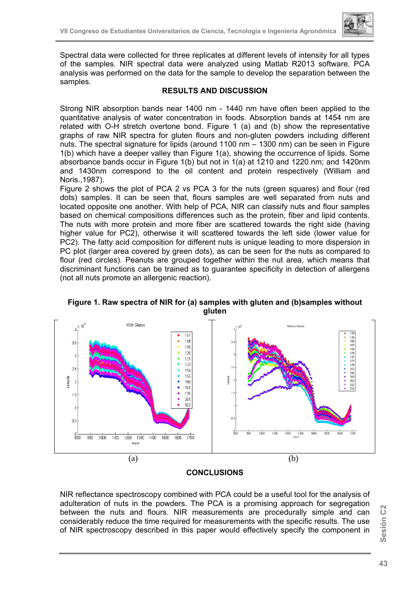

Spectral data were collected for three replicates at different levels of intensity for all types of the samples. NIR spectral data were analyzed using Matlab R2013 software. PCA analysis was performed on the data for the sample to develop the separation between the samples.

## **RESULTS AND DISCUSSION**

Strong NIR absorption bands near 1400 nm - 1440 nm have often been applied to the quantitative analysis of water concentration in foods. Absorption bands at 1454 nm are related with O-H stretch overtone bond. Figure 1 (a) and (b) show the representative graphs of raw NIR spectra for gluten flours and non-gluten powders including different nuts. The spectral signature for lipids (around 1100 nm – 1300 nm) can be seen in Figure 1(b) which have a deeper valley than Figure 1(a), showing the occurrence of lipids. Some absorbance bands occur in Figure 1(b) but not in 1(a) at 1210 and 1220 nm; and 1420nm and 1430nm correspond to the oil content and protein respectively (William and Noris.,1987).

Figure 2 shows the plot of PCA 2 vs PCA 3 for the nuts (green squares) and flour (red dots) samples. It can be seen that, flours samples are well separated from nuts and located opposite one another. With help of PCA, NIR can classify nuts and flour samples based on chemical compositions differences such as the protein, fiber and lipid contents. The nuts with more protein and more fiber are scattered towards the right side (having higher value for PC2), otherwise it will scattered towards the left side (lower value for PC2). The fatty acid composition for different nuts is unique leading to more dispersion in PC plot (larger area covered by green dots), as can be seen for the nuts as compared to flour (red circles). Peanuts are grouped together within the nut area, which means that discriminant functions can be trained as to guarantee specificity in detection of allergens (not all nuts promote an allergenic reaction).



**Figure 1. Raw spectra of NIR for (a) samples with gluten and (b)samples without gluten** 

### **CONCLUSIONS**

NIR reflectance spectroscopy combined with PCA could be a useful tool for the analysis of adulteration of nuts in the powders. The PCA is a promising approach for segregation between the nuts and flours. NIR measurements are procedurally simple and can considerably reduce the time required for measurements with the specific results. The use of NIR spectroscopy described in this paper would effectively specify the component in

**Sesión C2**  Sesión C<sub>2</sub>